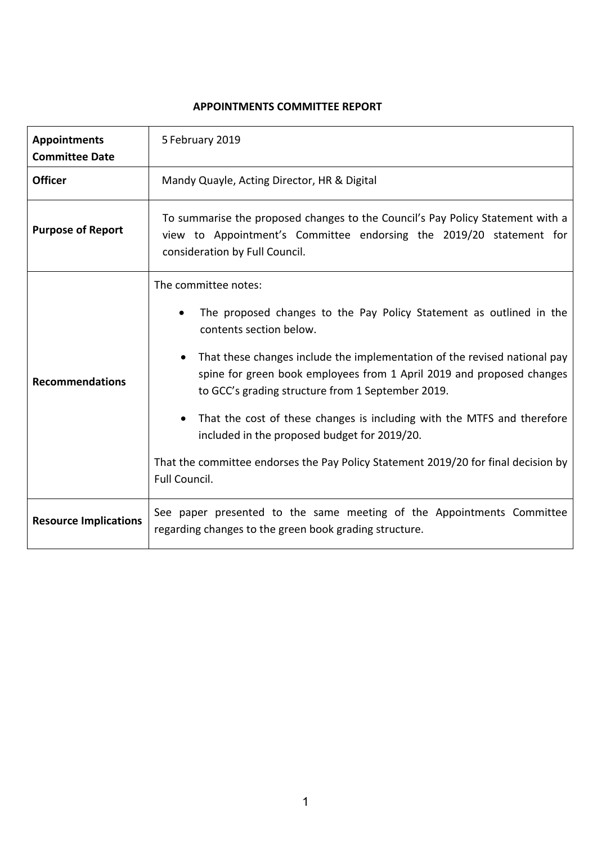#### **APPOINTMENTS COMMITTEE REPORT**

| <b>Appointments</b><br><b>Committee Date</b> | 5 February 2019                                                                                                                                                                                                                                                                                                                                                                                                                                                                                                                                                                               |
|----------------------------------------------|-----------------------------------------------------------------------------------------------------------------------------------------------------------------------------------------------------------------------------------------------------------------------------------------------------------------------------------------------------------------------------------------------------------------------------------------------------------------------------------------------------------------------------------------------------------------------------------------------|
| <b>Officer</b>                               | Mandy Quayle, Acting Director, HR & Digital                                                                                                                                                                                                                                                                                                                                                                                                                                                                                                                                                   |
| <b>Purpose of Report</b>                     | To summarise the proposed changes to the Council's Pay Policy Statement with a<br>view to Appointment's Committee endorsing the 2019/20 statement for<br>consideration by Full Council.                                                                                                                                                                                                                                                                                                                                                                                                       |
| <b>Recommendations</b>                       | The committee notes:<br>The proposed changes to the Pay Policy Statement as outlined in the<br>contents section below.<br>That these changes include the implementation of the revised national pay<br>$\bullet$<br>spine for green book employees from 1 April 2019 and proposed changes<br>to GCC's grading structure from 1 September 2019.<br>That the cost of these changes is including with the MTFS and therefore<br>$\bullet$<br>included in the proposed budget for 2019/20.<br>That the committee endorses the Pay Policy Statement 2019/20 for final decision by<br>Full Council. |
| <b>Resource Implications</b>                 | See paper presented to the same meeting of the Appointments Committee<br>regarding changes to the green book grading structure.                                                                                                                                                                                                                                                                                                                                                                                                                                                               |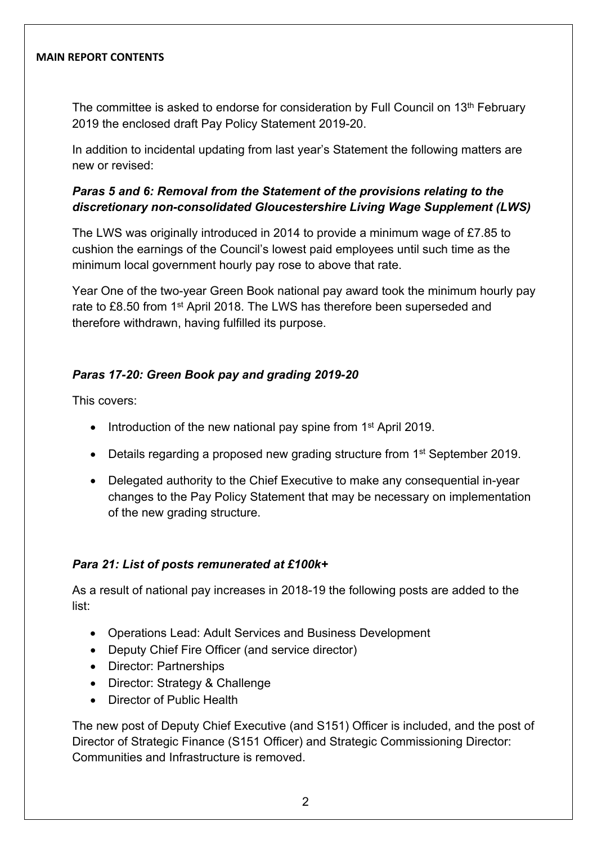#### **MAIN REPORT CONTENTS**

The committee is asked to endorse for consideration by Full Council on 13<sup>th</sup> February 2019 the enclosed draft Pay Policy Statement 2019-20.

In addition to incidental updating from last year's Statement the following matters are new or revised:

### *Paras 5 and 6: Removal from the Statement of the provisions relating to the discretionary non-consolidated Gloucestershire Living Wage Supplement (LWS)*

The LWS was originally introduced in 2014 to provide a minimum wage of £7.85 to cushion the earnings of the Council's lowest paid employees until such time as the minimum local government hourly pay rose to above that rate.

Year One of the two-year Green Book national pay award took the minimum hourly pay rate to £8.50 from 1<sup>st</sup> April 2018. The LWS has therefore been superseded and therefore withdrawn, having fulfilled its purpose.

### *Paras 17-20: Green Book pay and grading 2019-20*

This covers:

- Introduction of the new national pay spine from 1<sup>st</sup> April 2019.
- Details regarding a proposed new grading structure from 1<sup>st</sup> September 2019.
- Delegated authority to the Chief Executive to make any consequential in-year changes to the Pay Policy Statement that may be necessary on implementation of the new grading structure.

# *Para 21: List of posts remunerated at £100k+*

As a result of national pay increases in 2018-19 the following posts are added to the list:

- Operations Lead: Adult Services and Business Development
- Deputy Chief Fire Officer (and service director)
- Director: Partnerships
- Director: Strategy & Challenge
- Director of Public Health

The new post of Deputy Chief Executive (and S151) Officer is included, and the post of Director of Strategic Finance (S151 Officer) and Strategic Commissioning Director: Communities and Infrastructure is removed.